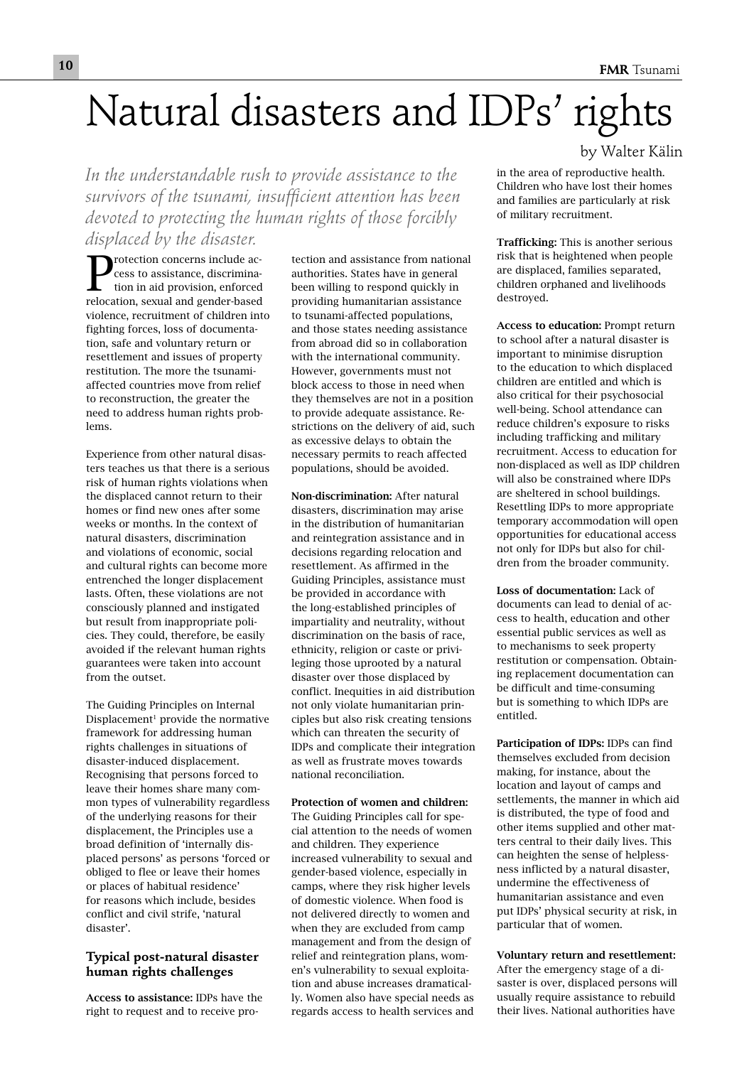# Natural disasters and IDPs' rights

*In the understandable rush to provide assistance to the survivors of the tsunami, insufficient attention has been devoted to protecting the human rights of those forcibly displaced by the disaster.*

Protection concerns include access to assistance, discrimination in aid provision, enforced relocation, sexual and gender-based violence, recruitment of children into fighting forces, loss of documentation, safe and voluntary return or resettlement and issues of property restitution. The more the tsunamiaffected countries move from relief to reconstruction, the greater the need to address human rights problems.

Experience from other natural disasters teaches us that there is a serious risk of human rights violations when the displaced cannot return to their homes or find new ones after some weeks or months. In the context of natural disasters, discrimination and violations of economic, social and cultural rights can become more entrenched the longer displacement lasts. Often, these violations are not consciously planned and instigated but result from inappropriate policies. They could, therefore, be easily avoided if the relevant human rights guarantees were taken into account from the outset.

The Guiding Principles on Internal Displacement<sup>1</sup> provide the normative framework for addressing human rights challenges in situations of disaster-induced displacement. Recognising that persons forced to leave their homes share many common types of vulnerability regardless of the underlying reasons for their displacement, the Principles use a broad definition of 'internally displaced persons' as persons 'forced or obliged to flee or leave their homes or places of habitual residence' for reasons which include, besides conflict and civil strife, 'natural disaster'.

### **Typical post-natural disaster human rights challenges**

Access to assistance: IDPs have the right to request and to receive protection and assistance from national authorities. States have in general been willing to respond quickly in providing humanitarian assistance to tsunami-affected populations, and those states needing assistance from abroad did so in collaboration with the international community. However, governments must not block access to those in need when they themselves are not in a position to provide adequate assistance. Restrictions on the delivery of aid, such as excessive delays to obtain the necessary permits to reach affected populations, should be avoided.

Non-discrimination: After natural disasters, discrimination may arise in the distribution of humanitarian and reintegration assistance and in decisions regarding relocation and resettlement. As affirmed in the Guiding Principles, assistance must be provided in accordance with the long-established principles of impartiality and neutrality, without discrimination on the basis of race, ethnicity, religion or caste or privileging those uprooted by a natural disaster over those displaced by conflict. Inequities in aid distribution not only violate humanitarian principles but also risk creating tensions which can threaten the security of IDPs and complicate their integration as well as frustrate moves towards national reconciliation.

Protection of women and children: The Guiding Principles call for special attention to the needs of women and children. They experience increased vulnerability to sexual and gender-based violence, especially in camps, where they risk higher levels of domestic violence. When food is not delivered directly to women and when they are excluded from camp management and from the design of relief and reintegration plans, women's vulnerability to sexual exploitation and abuse increases dramatically. Women also have special needs as regards access to health services and by Walter Kälin

in the area of reproductive health. Children who have lost their homes and families are particularly at risk of military recruitment.

Trafficking: This is another serious risk that is heightened when people are displaced, families separated, children orphaned and livelihoods destroyed.

Access to education: Prompt return to school after a natural disaster is important to minimise disruption to the education to which displaced children are entitled and which is also critical for their psychosocial well-being. School attendance can reduce children's exposure to risks including trafficking and military recruitment. Access to education for non-displaced as well as IDP children will also be constrained where IDPs are sheltered in school buildings. Resettling IDPs to more appropriate temporary accommodation will open opportunities for educational access not only for IDPs but also for children from the broader community.

Loss of documentation: Lack of documents can lead to denial of access to health, education and other essential public services as well as to mechanisms to seek property restitution or compensation. Obtaining replacement documentation can be difficult and time-consuming but is something to which IDPs are entitled.

Participation of IDPs: IDPs can find themselves excluded from decision making, for instance, about the location and layout of camps and settlements, the manner in which aid is distributed, the type of food and other items supplied and other matters central to their daily lives. This can heighten the sense of helplessness inflicted by a natural disaster, undermine the effectiveness of humanitarian assistance and even put IDPs' physical security at risk, in particular that of women.

Voluntary return and resettlement: After the emergency stage of a disaster is over, displaced persons will usually require assistance to rebuild their lives. National authorities have